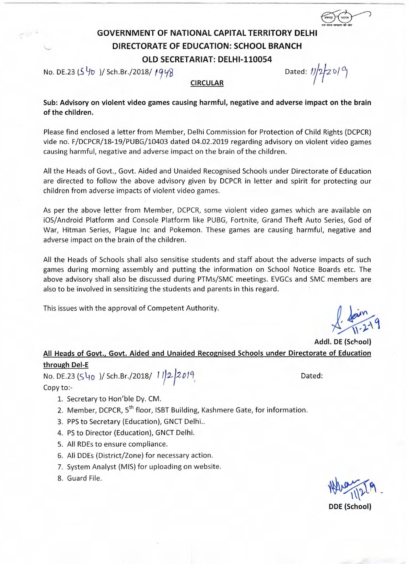## **GOVERNMENT OF NATIONAL CAPITAL TERRITORY DELHI DIRECTORATE OF EDUCATION: SCHOOL BRANCH OLD SECRETARIAT: DELHI-110054**

No. DE.23 (5  $\frac{1}{2}$  )/ Sch.Br./2018/ 1948

एक कदम स्वच्छता की ओर

**Sub: Advisory on violent video games causing harmful, negative and adverse impact on the brain of the children.** 

**CIRCULAR** 

Please find enclosed a letter from Member, Delhi Commission for Protection of Child Rights (DCPCR) vide no. F/DCPCR/18-19/PUBG/10403 dated 04.02.2019 regarding advisory on violent video games causing harmful, negative and adverse impact on the brain of the children.

All the Heads of Govt., Govt. Aided and Unaided Recognised Schools under Directorate of Education are directed to follow the above advisory given by DCPCR in letter and spirit for protecting our children from adverse impacts of violent video games.

As per the above letter from Member, DCPCR, some violent video games which are available on i0S/Android Platform and Console Platform like PUBG, Fortnite, Grand Theft Auto Series, God of War, Hitman Series, Plague Inc and Pokemon. These games are causing harmful, negative and adverse impact on the brain of the children.

All the Heads of Schools shall also sensitise students and staff about the adverse impacts of such games during morning assembly and putting the information on School Notice Boards etc. The above advisory shall also be discussed during PTMs/SMC meetings. EVGCs and SMC members are also to be involved in sensitizing the students and parents in this regard.

This issues with the approval of Competent Authority.

 $\sigma$  $\frac{1}{2}$ 

**Addl. DE (School) All Heads of Govt., Govt. Aided and Unaided Recognised Schools under Directorate of Education through Del-E** 

No. DE.23 (540 )/ Sch.Br./2018/ *1* 1/2 2019 **Dated:** Copy to:-

- 1. Secretary to Hon'ble Dy. CM.
- 2. Member, DCPCR, 5<sup>th</sup> floor, ISBT Building, Kashmere Gate, for information.
- 3. PPS to Secretary (Education), GNCT Delhi..
- 4. PS to Director (Education), GNCT Delhi.
- 5. All RDEs to ensure compliance.
- 6. All DDEs (District/Zone) for necessary action.
- 7. System Analyst (MIS) for uploading on website.
- 8. Guard File.

**140 - 112 PM DDE (School)**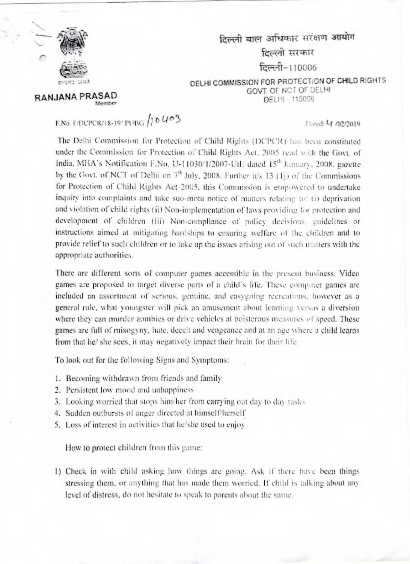

RANJANA PRASAD

दिल्ली बाल अधिकार सरंक्षण आयोग दिल्ली सरकार दिल्ली-110006 DELHI COMMISSION FOR PROTECTION OF CHILD RIGHTS

GOVT. OF NCT OF DELHI DELHI - 110006

## F.No. F/DCPCR/18-19/PUBG  $/10V$

**Maurichard** 

Dated: 4 /02/2019

The Delhi Commission for Protection of Child Rights (DCPCR) has been constituted under the Commission for Protection of Child Rights Act. 2005 read with the Govt. of India, MHA's Notification F.No. U-11030/1/2007-UtL dated 15th January, 2008. gazette. by the Govt. of NCT of Delhi on 7<sup>th</sup> July, 2008. Further u/s 13 (1j) of the Commissions for Protection of Child Rights Act 2005, this Commission is empowered to undertake inquiry into complaints and take suo-motu notice of matters relating to: (i) deprivation and violation of child rights (ii) Non-implementation of laws providing for protection and development of children (iii) Non-compliance of policy decisions, guidelines or instructions aimed at mitigating hardships to ensuring welfare of the children and to provide relief to such children or to take up the issues arising out of such matters with the appropriate authorities.

There are different sorts of computer games accessible in the present business. Video games are proposed to target diverse parts of a child's life. These computer games are included an assortment of serious, genuine, and easygoing recreations, however as a general rule, what youngster will pick an amusement about learning versus a diversion where they can murder zombies or drive vehicles at boisterous measures of speed. These games are full of misogyny, hate, deceit and vengeance and at an age where a child learns from that he' she sees, it may negatively impact their brain for their life.

To look out for the following Signs and Symptoms:

- 1. Becoming withdrawn from friends and family
- 2. Persistent low mood and unhappiness
- 3. Looking worried that stops him/her from carrying out day to day tasks
- 4. Sudden outbursts of anger directed at himself/herself
- 5. Loss of interest in activities that he/she used to enjoy

How to protect children from this game:

1) Check in with child asking how things are going. Ask if there have been things stressing them, or anything that has made them worried. If child is talking about any level of distress, do not hesitate to speak to parents about the same.